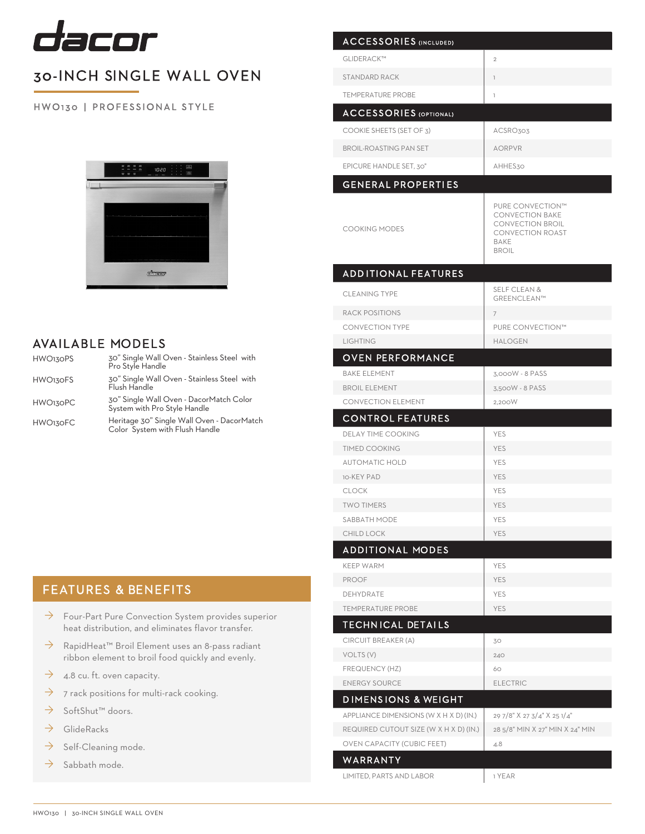

# 30-INCH SINGLE WALL OVEN

### HW O 130 | PROFESSIONAL STYLE



## AVAILABLE MODELS

| HWO130PS        | 30" Single Wall Oven - Stainless Steel with<br>Pro Style Handle              |
|-----------------|------------------------------------------------------------------------------|
| HWO130FS        | 30" Single Wall Oven - Stainless Steel with<br>Flush Handle                  |
| <b>HWO130PC</b> | 30" Single Wall Oven - DacorMatch Color<br>System with Pro Style Handle      |
| <b>HWO130FC</b> | Heritage 30" Single Wall Oven - DacorMatch<br>Color System with Flush Handle |

## FEATURES & BENEFITS

- $\rightarrow$  Four-Part Pure Convection System provides superior heat distribution, and eliminates flavor transfer.
- → RapidHeat<sup>™</sup> Broil Element uses an 8-pass radiant ribbon element to broil food quickly and evenly.
- $\rightarrow$  4.8 cu. ft. oven capacity.
- $\rightarrow$  7 rack positions for multi-rack cooking.
- → SoftShut™ doors.
- $\rightarrow$  GlideRacks
- $\rightarrow$  Self-Cleaning mode.
- $\rightarrow$  Sabbath mode.

| <b>ACCESSORIES (INCLUDED)</b>          |                                                                                                                                 |
|----------------------------------------|---------------------------------------------------------------------------------------------------------------------------------|
| GLIDERACK™                             | $\mathbf{2}$                                                                                                                    |
| <b>STANDARD RACK</b>                   | T                                                                                                                               |
| <b>TEMPERATURE PROBE</b>               | T                                                                                                                               |
|                                        |                                                                                                                                 |
| <b>ACCESSORIES (OPTIONAL)</b>          |                                                                                                                                 |
| COOKIE SHEETS (SET OF 3)               | ACSRO303                                                                                                                        |
| <b>BROIL-ROASTING PAN SET</b>          | <b>AORPVR</b>                                                                                                                   |
| EPICURE HANDLE SET, 30"                | AHHES30                                                                                                                         |
| <b>GENERAL PROPERTIES</b>              |                                                                                                                                 |
| <b>COOKING MODES</b>                   | PURE CONVECTION™<br><b>CONVECTION BAKE</b><br><b>CONVECTION BROIL</b><br><b>CONVECTION ROAST</b><br><b>BAKE</b><br><b>BROIL</b> |
| <b>ADDITIONAL FEATURES</b>             |                                                                                                                                 |
| <b>CLEANING TYPE</b>                   | <b>SELF CLEAN &amp;</b><br>GREENCLEAN™                                                                                          |
| <b>RACK POSITIONS</b>                  | $\overline{7}$                                                                                                                  |
| <b>CONVECTION TYPE</b>                 | PURE CONVECTION™                                                                                                                |
| <b>LIGHTING</b>                        | <b>HALOGEN</b>                                                                                                                  |
| <b>OVEN PERFORMANCE</b>                |                                                                                                                                 |
| <b>BAKE ELEMENT</b>                    | 3,000W - 8 PASS                                                                                                                 |
| <b>BROIL ELEMENT</b>                   | 3,500W - 8 PASS                                                                                                                 |
| <b>CONVECTION ELEMENT</b>              | 2,200W                                                                                                                          |
| <b>CONTROL FEATURES</b>                |                                                                                                                                 |
| <b>DELAY TIME COOKING</b>              | <b>YES</b>                                                                                                                      |
| <b>TIMED COOKING</b>                   | <b>YES</b>                                                                                                                      |
| <b>AUTOMATIC HOLD</b>                  | <b>YES</b>                                                                                                                      |
| 10-KEY PAD                             | <b>YES</b>                                                                                                                      |
| <b>CLOCK</b><br><b>TWO TIMERS</b>      | <b>YES</b><br>YES                                                                                                               |
| <b>SABBATH MODE</b>                    | YES                                                                                                                             |
| <b>CHILD LOCK</b>                      | <b>YES</b>                                                                                                                      |
| <b>ADDITIONAL MODES</b>                |                                                                                                                                 |
| <b>KEEP WARM</b>                       | YES                                                                                                                             |
| <b>PROOF</b>                           | <b>YES</b>                                                                                                                      |
| DEHYDRATE                              | YES                                                                                                                             |
| <b>TEMPERATURE PROBE</b>               | <b>YES</b>                                                                                                                      |
| <b>TECHNICAL DETAILS</b>               |                                                                                                                                 |
| CIRCUIT BREAKER (A)                    | 30                                                                                                                              |
| VOLTS (V)                              | 240                                                                                                                             |
| <b>FREQUENCY (HZ)</b>                  | 60                                                                                                                              |
| <b>ENERGY SOURCE</b>                   | <b>ELECTRIC</b>                                                                                                                 |
| <b>DIMENSIONS &amp; WEIGHT</b>         |                                                                                                                                 |
| APPLIANCE DIMENSIONS (W X H X D) (IN.) | 29 7/8" X 27 3/4" X 25 1/4"                                                                                                     |
| REQUIRED CUTOUT SIZE (W X H X D) (IN.) | 28 5/8" MIN X 27" MIN X 24" MIN                                                                                                 |
|                                        |                                                                                                                                 |
| <b>OVEN CAPACITY (CUBIC FEET)</b>      | 4.8                                                                                                                             |
| WARRANTY                               |                                                                                                                                 |